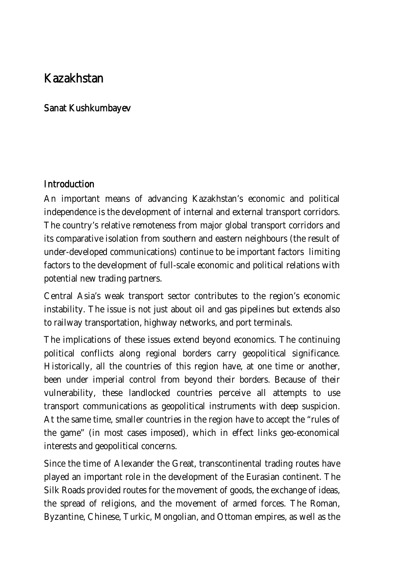# Kazakhstan

### Sanat Kushkumbayev

### **Introduction**

An important means of advancing Kazakhstan's economic and political independence is the development of internal and external transport corridors. The country's relative remoteness from major global transport corridors and its comparative isolation from southern and eastern neighbours (the result of under-developed communications) continue to be important factors limiting factors to the development of full-scale economic and political relations with potential new trading partners.

Central Asia's weak transport sector contributes to the region's economic instability. The issue is not just about oil and gas pipelines but extends also to railway transportation, highway networks, and port terminals.

The implications of these issues extend beyond economics. The continuing political conflicts along regional borders carry geopolitical significance. Historically, all the countries of this region have, at one time or another, been under imperial control from beyond their borders. Because of their vulnerability, these landlocked countries perceive all attempts to use transport communications as geopolitical instruments with deep suspicion. At the same time, smaller countries in the region have to accept the "rules of the game" (in most cases imposed), which in effect links geo-economical interests and geopolitical concerns.

Since the time of Alexander the Great, transcontinental trading routes have played an important role in the development of the Eurasian continent. The Silk Roads provided routes for the movement of goods, the exchange of ideas, the spread of religions, and the movement of armed forces. The Roman, Byzantine, Chinese, Turkic, Mongolian, and Ottoman empires, as well as the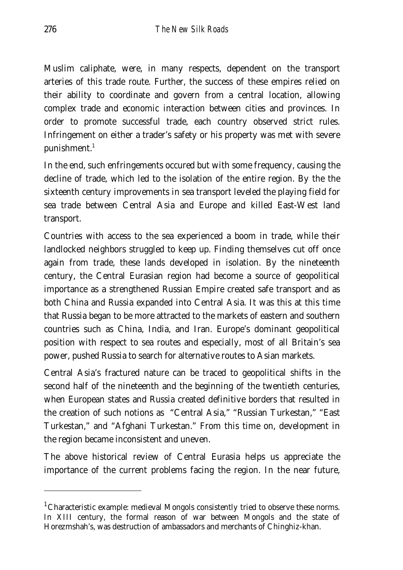Muslim caliphate, were, in many respects, dependent on the transport arteries of this trade route. Further, the success of these empires relied on their ability to coordinate and govern from a central location, allowing complex trade and economic interaction between cities and provinces. In order to promote successful trade, each country observed strict rules. Infringement on either a trader's safety or his property was met with severe punishment. $1$ 

In the end, such enfringements occured but with some frequency, causing the decline of trade, which led to the isolation of the entire region. By the the sixteenth century improvements in sea transport leveled the playing field for sea trade between Central Asia and Europe and killed East-West land transport.

Countries with access to the sea experienced a boom in trade, while their landlocked neighbors struggled to keep up. Finding themselves cut off once again from trade, these lands developed in isolation. By the nineteenth century, the Central Eurasian region had become a source of geopolitical importance as a strengthened Russian Empire created safe transport and as both China and Russia expanded into Central Asia. It was this at this time that Russia began to be more attracted to the markets of eastern and southern countries such as China, India, and Iran. Europe's dominant geopolitical position with respect to sea routes and especially, most of all Britain's sea power, pushed Russia to search for alternative routes to Asian markets.

Central Asia's fractured nature can be traced to geopolitical shifts in the second half of the nineteenth and the beginning of the twentieth centuries, when European states and Russia created definitive borders that resulted in the creation of such notions as "Central Asia," "Russian Turkestan," "East Turkestan," and "Afghani Turkestan." From this time on, development in the region became inconsistent and uneven.

The above historical review of Central Eurasia helps us appreciate the importance of the current problems facing the region. In the near future,

 $1$  Characteristic example: medieval Mongols consistently tried to observe these norms. In XIII century, the formal reason of war between Mongols and the state of Horezmshah's, was destruction of ambassadors and merchants of Chinghiz-khan.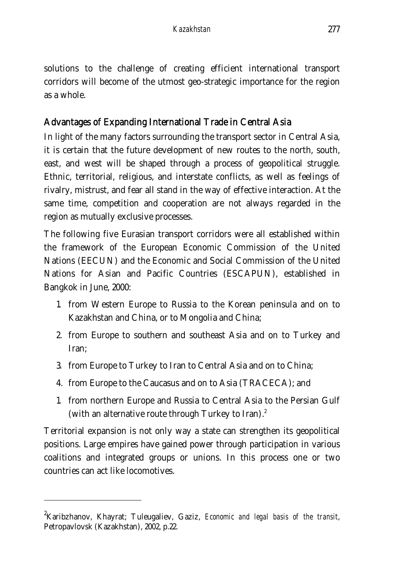solutions to the challenge of creating efficient international transport corridors will become of the utmost geo-strategic importance for the region as a whole.

# Advantages of Expanding International Trade in Central Asia

In light of the many factors surrounding the transport sector in Central Asia, it is certain that the future development of new routes to the north, south, east, and west will be shaped through a process of geopolitical struggle. Ethnic, territorial, religious, and interstate conflicts, as well as feelings of rivalry, mistrust, and fear all stand in the way of effective interaction. At the same time, competition and cooperation are not always regarded in the region as mutually exclusive processes.

The following five Eurasian transport corridors were all established within the framework of the European Economic Commission of the United Nations (EECUN) and the Economic and Social Commission of the United Nations for Asian and Pacific Countries (ESCAPUN), established in Bangkok in June, 2000:

- 1. from Western Europe to Russia to the Korean peninsula and on to Kazakhstan and China, or to Mongolia and China;
- 2. from Europe to southern and southeast Asia and on to Turkey and Iran;
- 3. from Europe to Turkey to Iran to Central Asia and on to China;
- 4. from Europe to the Caucasus and on to Asia (TRACECA); and
- 1. from northern Europe and Russia to Central Asia to the Persian Gulf (with an alternative route through Turkey to Iran). $^2$

Territorial expansion is not only way a state can strengthen its geopolitical positions. Large empires have gained power through participation in various coalitions and integrated groups or unions. In this process one or two countries can act like locomotives.

<sup>2</sup> Karibzhanov, Khayrat; Tuleugaliev, Gaziz, *Economic and legal basis of the transit*, Petropavlovsk (Kazakhstan), 2002, p.22.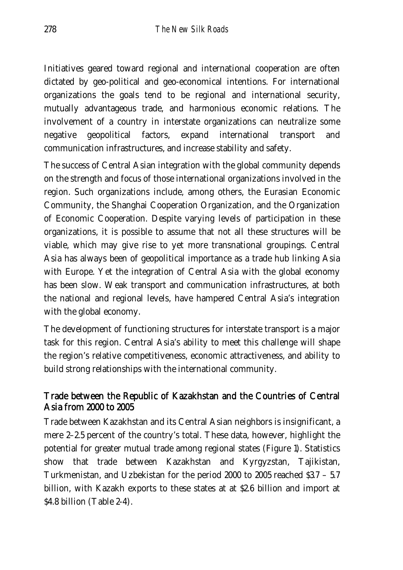Initiatives geared toward regional and international cooperation are often dictated by geo-political and geo-economical intentions. For international organizations the goals tend to be regional and international security, mutually advantageous trade, and harmonious economic relations. The involvement of a country in interstate organizations can neutralize some negative geopolitical factors, expand international transport and communication infrastructures, and increase stability and safety.

The success of Central Asian integration with the global community depends on the strength and focus of those international organizations involved in the region. Such organizations include, among others, the Eurasian Economic Community, the Shanghai Cooperation Organization, and the Organization of Economic Cooperation. Despite varying levels of participation in these organizations, it is possible to assume that not all these structures will be viable, which may give rise to yet more transnational groupings. Central Asia has always been of geopolitical importance as a trade hub linking Asia with Europe. Yet the integration of Central Asia with the global economy has been slow. Weak transport and communication infrastructures, at both the national and regional levels, have hampered Central Asia's integration with the global economy.

The development of functioning structures for interstate transport is a major task for this region. Central Asia's ability to meet this challenge will shape the region's relative competitiveness, economic attractiveness, and ability to build strong relationships with the international community.

### Trade between the Republic of Kazakhstan and the Countries of Central Asia from 2000 to 2005

Trade between Kazakhstan and its Central Asian neighbors is insignificant, a mere 2–2.5 percent of the country's total. These data, however, highlight the potential for greater mutual trade among regional states (Figure 1). Statistics show that trade between Kazakhstan and Kyrgyzstan, Tajikistan, Turkmenistan, and Uzbekistan for the period 2000 to 2005 reached \$3.7 – 5.7 billion, with Kazakh exports to these states at at \$2.6 billion and import at \$4.8 billion (Table 2-4).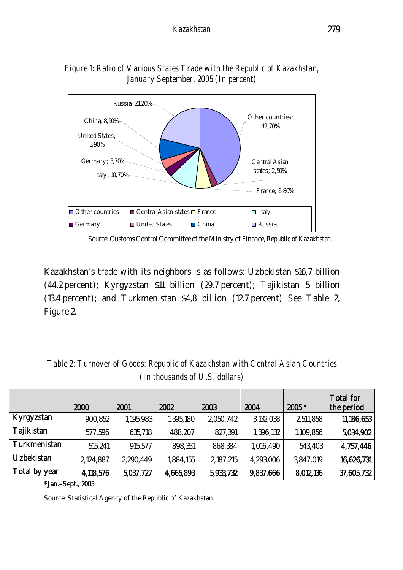

*Figure 1: Ratio of Various States Trade with the Republic of Kazakhstan, January September, 2005 (In percent)* 

Source: Customs Control Committee of the Ministry of Finance, Republic of Kazakhstan.

Kazakhstan's trade with its neighbors is as follows: Uzbekistan \$16,7 billion (44.2 percent); Kyrgyzstan \$11 billion (29.7 percent); Tajikistan 5 billion (13.4 percent); and Turkmenistan \$4,8 billion (12.7 percent) See Table 2, Figure 2.

|                   | 2000      | 2001      | 2002      | 2003      | 2004      | $2005*$   | <b>Total for</b><br>the period |
|-------------------|-----------|-----------|-----------|-----------|-----------|-----------|--------------------------------|
| Kyrgyzstan        | 900,852   | 1,195,983 | 1,395,180 | 2,050,742 | 3,132,038 | 2,511,858 | 11,186,653                     |
| Tajikistan        | 577,596   | 635,718   | 488,207   | 827,391   | 1,396,132 | 1,109,856 | 5,034,902                      |
| Turkmenistan      | 515,241   | 915,577   | 898,351   | 868,384   | 1,016,490 | 543,403   | 4,757,446                      |
| <b>Uzbekistan</b> | 2,124,887 | 2,290,449 | 1,884,155 | 2,187,215 | 4,293,006 | 3,847,019 | 16,626,731                     |
| Total by year     | 4,118,576 | 5,037,727 | 4,665,893 | 5,933,732 | 9,837,666 | 8,012,136 | 37,605,732                     |

*Table 2: Turnover of Goods: Republic of Kazakhstan with Central Asian Countries (In thousands of U.S. dollars)* 

\*Jan.–Sept., 2005

Source: Statistical Agency of the Republic of Kazakhstan.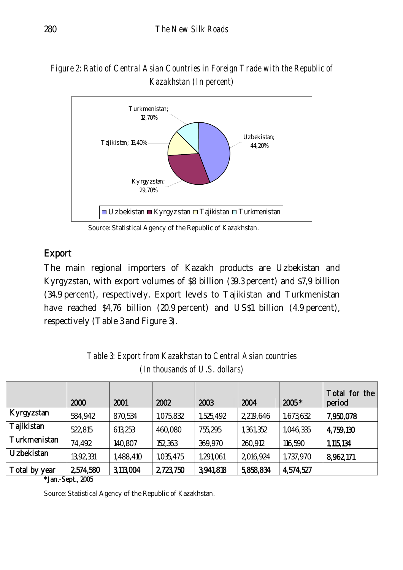# *Figure 2: Ratio of Central Asian Countries in Foreign Trade with the Republic of Kazakhstan (In percent)*



Source: Statistical Agency of the Republic of Kazakhstan.

### Export

The main regional importers of Kazakh products are Uzbekistan and Kyrgyzstan, with export volumes of \$8 billion (39.3 percent) and \$7,9 billion (34.9 percent), respectively. Export levels to Tajikistan and Turkmenistan have reached \$4,76 billion (20.9 percent) and US\$1 billion (4.9 percent), respectively (Table 3 and Figure 3).

|                              | 2000                 | 2001      | 2002      | 2003      | 2004      | $2005*$   | Total for the<br>period |
|------------------------------|----------------------|-----------|-----------|-----------|-----------|-----------|-------------------------|
| Kyrgyzstan                   | 584,942              | 870,534   | 1,075,832 | 1,525,492 | 2,219,646 | 1,673,632 | 7,950,078               |
| Tajikistan                   | 522,815              | 613,253   | 460,080   | 755,295   | 1,361,352 | 1,046,335 | 4,759,130               |
| Turkmenistan                 | 74,492               | 140,807   | 152,363   | 369,970   | 260,912   | 116,590   | 1,115,134               |
| <b>Uzbekistan</b>            | 13,92,331            | 1,488,410 | 1,035,475 | 1,291,061 | 2,016,924 | 1,737,970 | 8,962,171               |
| Total by year<br>.<br>$\sim$ | 2,574,580<br>$.$ $.$ | 3,113,004 | 2,723,750 | 3,941,818 | 5,858,834 | 4,574,527 |                         |

*Table 3: Export from Kazakhstan to Central Asian countries (In thousands of U.S. dollars)* 

\*Jan.-Sept., 2005

Source: Statistical Agency of the Republic of Kazakhstan.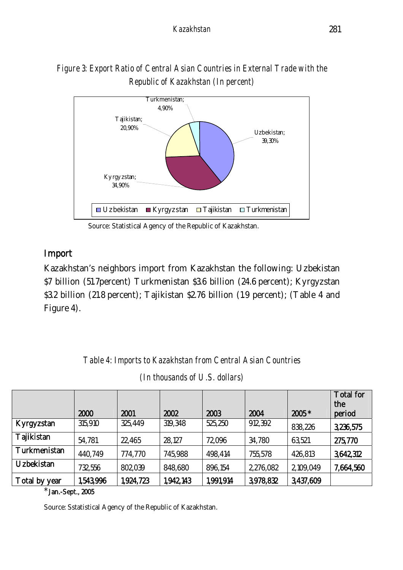

*Figure 3: Export Ratio of Central Asian Countries in External Trade with the Republic of Kazakhstan (In percent)* 

Source: Statistical Agency of the Republic of Kazakhstan.

### Import

Kazakhstan's neighbors import from Kazakhstan the following: Uzbekistan \$7 billion (51.7percent) Turkmenistan \$3.6 billion (24.6 percent); Kyrgyzstan \$3.2 billion (21.8 percent); Tajikistan \$2.76 billion (1.9 percent); (Table 4 and Figure 4).

|                   | 2000      | 2001      | 2002      | 2003      | 2004      | $2005*$   | <b>Total for</b><br>the<br>period |
|-------------------|-----------|-----------|-----------|-----------|-----------|-----------|-----------------------------------|
| Kyrgyzstan        | 315,910   | 325,449   | 319,348   | 525,250   | 912,392   | 838,226   | 3,236,575                         |
| Tajikistan        | 54,781    | 22,465    | 28,127    | 72,096    | 34,780    | 63,521    | 275,770                           |
| Turkmenistan      | 440,749   | 774,770   | 745,988   | 498,414   | 755,578   | 426,813   | 3,642,312                         |
| <b>Uzbekistan</b> | 732,556   | 802,039   | 848,680   | 896,154   | 2,276,082 | 2,109,049 | 7,664,560                         |
| Total by year     | 1,543,996 | 1,924,723 | 1,942,143 | 1,991,914 | 3,978,832 | 3,437,609 |                                   |

*Table 4: Imports to Kazakhstan from Central Asian Countries* 

*(In thousands of U.S. dollars)* 

#### \*Jan.-Sept., 2005

Source: Sstatistical Agency of the Republic of Kazakhstan.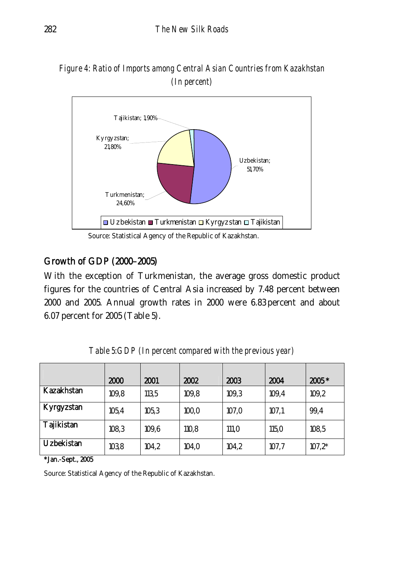



Source: Statistical Agency of the Republic of Kazakhstan.

### Growth of GDP (2000–2005)

With the exception of Turkmenistan, the average gross domestic product figures for the countries of Central Asia increased by 7.48 percent between 2000 and 2005. Annual growth rates in 2000 were 6.83 percent and about 6.07 percent for 2005 (Table 5).

|                   | 2000  | 2001  | 2002  | 2003  | 2004  | 2005 *   |
|-------------------|-------|-------|-------|-------|-------|----------|
| <b>Kazakhstan</b> | 109,8 | 113,5 | 109,8 | 109,3 | 109,4 | 109,2    |
| Kyrgyzstan        | 105,4 | 105,3 | 100,0 | 107,0 | 107,1 | 99,4     |
| Tajikistan        | 108,3 | 109,6 | 110,8 | 111,0 | 115,0 | 108,5    |
| <b>Uzbekistan</b> | 103,8 | 104,2 | 104,0 | 104,2 | 107,7 | $107.2*$ |

*Table 5:GDP (In percent compared with the previous year)* 

\*Jan.-Sept., 2005

Source: Statistical Agency of the Republic of Kazakhstan.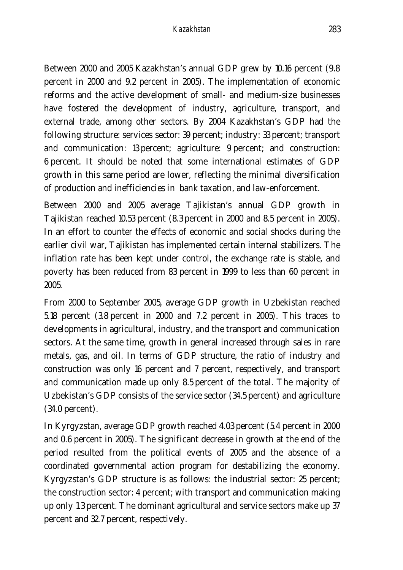Between 2000 and 2005 Kazakhstan's annual GDP grew by 10.16 percent (9.8 percent in 2000 and 9.2 percent in 2005). The implementation of economic reforms and the active development of small- and medium-size businesses have fostered the development of industry, agriculture, transport, and external trade, among other sectors. By 2004 Kazakhstan's GDP had the following structure: services sector: 39 percent; industry: 33 percent; transport and communication: 13 percent; agriculture: 9 percent; and construction: 6 percent. It should be noted that some international estimates of GDP growth in this same period are lower, reflecting the minimal diversification of production and inefficiencies in bank taxation, and law-enforcement.

Between 2000 and 2005 average Tajikistan's annual GDP growth in Tajikistan reached 10.53 percent (8.3 percent in 2000 and 8.5 percent in 2005). In an effort to counter the effects of economic and social shocks during the earlier civil war, Tajikistan has implemented certain internal stabilizers. The inflation rate has been kept under control, the exchange rate is stable, and poverty has been reduced from 83 percent in 1999 to less than 60 percent in 2005.

From 2000 to September 2005, average GDP growth in Uzbekistan reached 5.18 percent (3.8 percent in 2000 and 7.2 percent in 2005). This traces to developments in agricultural, industry, and the transport and communication sectors. At the same time, growth in general increased through sales in rare metals, gas, and oil. In terms of GDP structure, the ratio of industry and construction was only 16 percent and 7 percent, respectively, and transport and communication made up only 8.5 percent of the total. The majority of Uzbekistan's GDP consists of the service sector (34.5 percent) and agriculture (34.0 percent).

In Kyrgyzstan, average GDP growth reached 4.03 percent (5.4 percent in 2000 and 0.6 percent in 2005). The significant decrease in growth at the end of the period resulted from the political events of 2005 and the absence of a coordinated governmental action program for destabilizing the economy. Kyrgyzstan's GDP structure is as follows: the industrial sector: 25 percent; the construction sector: 4 percent; with transport and communication making up only 1.3 percent. The dominant agricultural and service sectors make up 37 percent and 32.7 percent, respectively.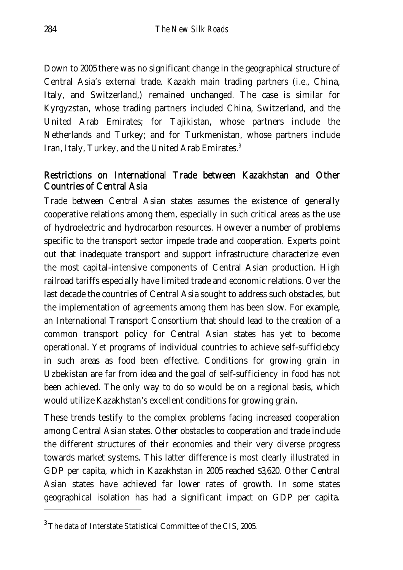Down to 2005 there was no significant change in the geographical structure of Central Asia's external trade. Kazakh main trading partners (i.e., China, Italy, and Switzerland,) remained unchanged. The case is similar for Kyrgyzstan, whose trading partners included China, Switzerland, and the United Arab Emirates; for Tajikistan, whose partners include the Netherlands and Turkey; and for Turkmenistan, whose partners include Iran, Italy, Turkey, and the United Arab Emirates.<sup>3</sup>

### Restrictions on International Trade between Kazakhstan and Other Countries of Central Asia

Trade between Central Asian states assumes the existence of generally cooperative relations among them, especially in such critical areas as the use of hydroelectric and hydrocarbon resources. However a number of problems specific to the transport sector impede trade and cooperation. Experts point out that inadequate transport and support infrastructure characterize even the most capital-intensive components of Central Asian production. High railroad tariffs especially have limited trade and economic relations. Over the last decade the countries of Central Asia sought to address such obstacles, but the implementation of agreements among them has been slow. For example, an International Transport Consortium that should lead to the creation of a common transport policy for Central Asian states has yet to become operational. Yet programs of individual countries to achieve self-sufficiebcy in such areas as food been effective. Conditions for growing grain in Uzbekistan are far from idea and the goal of self-sufficiency in food has not been achieved. The only way to do so would be on a regional basis, which would utilize Kazakhstan's excellent conditions for growing grain.

These trends testify to the complex problems facing increased cooperation among Central Asian states. Other obstacles to cooperation and trade include the different structures of their economies and their very diverse progress towards market systems. This latter difference is most clearly illustrated in GDP per capita, which in Kazakhstan in 2005 reached \$3,620. Other Central Asian states have achieved far lower rates of growth. In some states geographical isolation has had a significant impact on GDP per capita.

 $^3$  The data of Interstate Statistical Committee of the CIS, 2005.  $\,$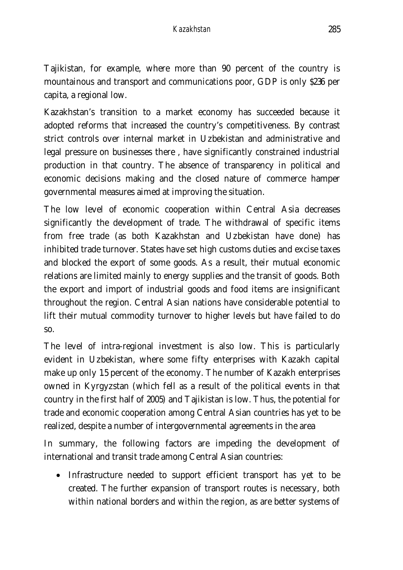Tajikistan, for example, where more than 90 percent of the country is mountainous and transport and communications poor, GDP is only \$236 per capita, a regional low.

Kazakhstan's transition to a market economy has succeeded because it adopted reforms that increased the country's competitiveness. By contrast strict controls over internal market in Uzbekistan and administrative and legal pressure on businesses there , have significantly constrained industrial production in that country. The absence of transparency in political and economic decisions making and the closed nature of commerce hamper governmental measures aimed at improving the situation.

The low level of economic cooperation within Central Asia decreases significantly the development of trade. The withdrawal of specific items from free trade (as both Kazakhstan and Uzbekistan have done) has inhibited trade turnover. States have set high customs duties and excise taxes and blocked the export of some goods. As a result, their mutual economic relations are limited mainly to energy supplies and the transit of goods. Both the export and import of industrial goods and food items are insignificant throughout the region. Central Asian nations have considerable potential to lift their mutual commodity turnover to higher levels but have failed to do so.

The level of intra-regional investment is also low. This is particularly evident in Uzbekistan, where some fifty enterprises with Kazakh capital make up only 1.5 percent of the economy. The number of Kazakh enterprises owned in Kyrgyzstan (which fell as a result of the political events in that country in the first half of 2005) and Tajikistan is low. Thus, the potential for trade and economic cooperation among Central Asian countries has yet to be realized, despite a number of intergovernmental agreements in the area

In summary, the following factors are impeding the development of international and transit trade among Central Asian countries:

• Infrastructure needed to support efficient transport has yet to be created. The further expansion of transport routes is necessary, both within national borders and within the region, as are better systems of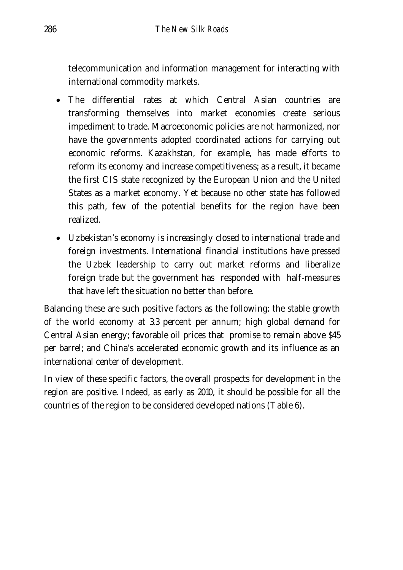telecommunication and information management for interacting with international commodity markets.

- The differential rates at which Central Asian countries are transforming themselves into market economies create serious impediment to trade. Macroeconomic policies are not harmonized, nor have the governments adopted coordinated actions for carrying out economic reforms. Kazakhstan, for example, has made efforts to reform its economy and increase competitiveness; as a result, it became the first CIS state recognized by the European Union and the United States as a market economy. Yet because no other state has followed this path, few of the potential benefits for the region have been realized.
- Uzbekistan's economy is increasingly closed to international trade and foreign investments. International financial institutions have pressed the Uzbek leadership to carry out market reforms and liberalize foreign trade but the government has responded with half-measures that have left the situation no better than before.

Balancing these are such positive factors as the following: the stable growth of the world economy at 3.3 percent per annum; high global demand for Central Asian energy; favorable oil prices that promise to remain above \$45 per barrel; and China's accelerated economic growth and its influence as an international center of development.

In view of these specific factors, the overall prospects for development in the region are positive. Indeed, as early as 2010, it should be possible for all the countries of the region to be considered developed nations (Table 6).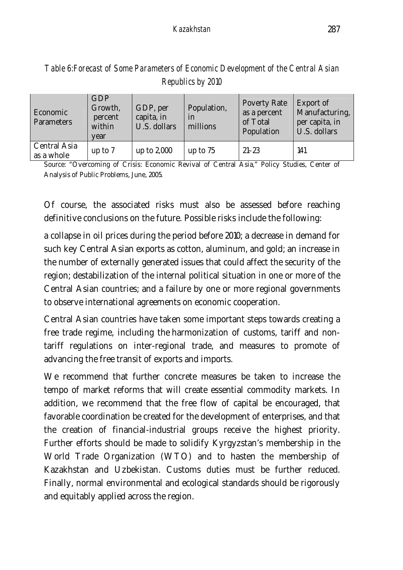| Economic<br><b>Parameters</b>     | GDP<br>Growth,<br>percent<br>within<br>vear | GDP, per<br>capita, in<br>U.S. dollars | Population,<br>in<br>millions | <b>Poverty Rate</b><br>as a percent<br>of Total<br>Population | <b>Export of</b><br>Manufacturing,<br>per capita, in<br><b>U.S. dollars</b> |
|-----------------------------------|---------------------------------------------|----------------------------------------|-------------------------------|---------------------------------------------------------------|-----------------------------------------------------------------------------|
| <b>Central Asia</b><br>as a whole | up to 7                                     | up to 2,000                            | up to $75$                    | $21 - 23$                                                     | 141                                                                         |

*Table 6:Forecast of Some Parameters of Economic Development of the Central Asian Republics by 2010* 

Source: "Overcoming of Crisis: Economic Revival of Central Asia," Policy Studies, Center of Analysis of Public Problems, June, 2005.

Of course, the associated risks must also be assessed before reaching definitive conclusions on the future. Possible risks include the following:

a collapse in oil prices during the period before 2010; a decrease in demand for such key Central Asian exports as cotton, aluminum, and gold; an increase in the number of externally generated issues that could affect the security of the region; destabilization of the internal political situation in one or more of the Central Asian countries; and a failure by one or more regional governments to observe international agreements on economic cooperation.

Central Asian countries have taken some important steps towards creating a free trade regime, including the harmonization of customs, tariff and nontariff regulations on inter-regional trade, and measures to promote of advancing the free transit of exports and imports.

We recommend that further concrete measures be taken to increase the tempo of market reforms that will create essential commodity markets. In addition, we recommend that the free flow of capital be encouraged, that favorable coordination be created for the development of enterprises, and that the creation of financial-industrial groups receive the highest priority. Further efforts should be made to solidify Kyrgyzstan's membership in the World Trade Organization (WTO) and to hasten the membership of Kazakhstan and Uzbekistan. Customs duties must be further reduced. Finally, normal environmental and ecological standards should be rigorously and equitably applied across the region.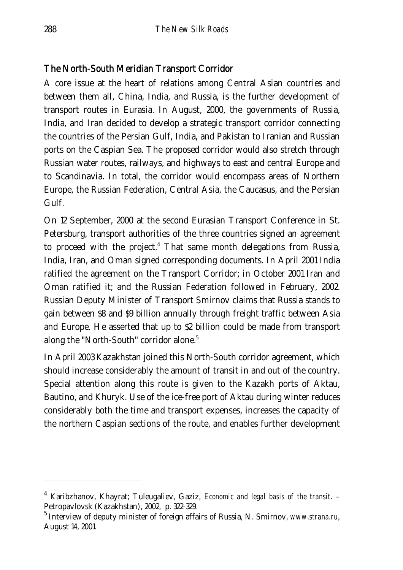### The North-South Meridian Transport Corridor

A core issue at the heart of relations among Central Asian countries and between them all, China, India, and Russia, is the further development of transport routes in Eurasia. In August, 2000, the governments of Russia, India, and Iran decided to develop a strategic transport corridor connecting the countries of the Persian Gulf, India, and Pakistan to Iranian and Russian ports on the Caspian Sea. The proposed corridor would also stretch through Russian water routes, railways, and highways to east and central Europe and to Scandinavia. In total, the corridor would encompass areas of Northern Europe, the Russian Federation, Central Asia, the Caucasus, and the Persian Gulf.

On 12 September, 2000 at the second Eurasian Transport Conference in St. Petersburg, transport authorities of the three countries signed an agreement to proceed with the project.<sup>4</sup> That same month delegations from Russia, India, Iran, and Oman signed corresponding documents. In April 2001 India ratified the agreement on the Transport Corridor; in October 2001 Iran and Oman ratified it; and the Russian Federation followed in February, 2002. Russian Deputy Minister of Transport Smirnov claims that Russia stands to gain between \$8 and \$9 billion annually through freight traffic between Asia and Europe. He asserted that up to \$2 billion could be made from transport along the "North-South" corridor alone.<sup>5</sup>

In April 2003 Kazakhstan joined this North-South corridor agreement, which should increase considerably the amount of transit in and out of the country. Special attention along this route is given to the Kazakh ports of Aktau, Bautino, and Khuryk. Use of the ice-free port of Aktau during winter reduces considerably both the time and transport expenses, increases the capacity of the northern Caspian sections of the route, and enables further development

<sup>4</sup> Karibzhanov, Khayrat; Tuleugaliev, Gaziz, *Economic and legal basis of the transit*. – Petropavlovsk (Kazakhstan), 2002, p. 322-329.

<sup>5</sup> Interview of deputy minister of foreign affairs of Russia, N. Smirnov, *www.strana.ru*, August 14, 2001.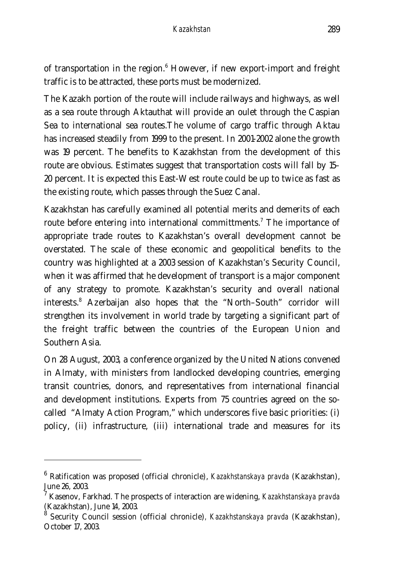of transportation in the region.<sup>6</sup> However, if new export-import and freight traffic is to be attracted, these ports must be modernized.

The Kazakh portion of the route will include railways and highways, as well as a sea route through Aktauthat will provide an oulet through the Caspian Sea to international sea routes.The volume of cargo traffic through Aktau has increased steadily from 1999 to the present. In 2001-2002 alone the growth was 19 percent. The benefits to Kazakhstan from the development of this route are obvious. Estimates suggest that transportation costs will fall by 15– 20 percent. It is expected this East-West route could be up to twice as fast as the existing route, which passes through the Suez Canal.

Kazakhstan has carefully examined all potential merits and demerits of each route before entering into international committments.<sup>7</sup> The importance of appropriate trade routes to Kazakhstan's overall development cannot be overstated. The scale of these economic and geopolitical benefits to the country was highlighted at a 2003 session of Kazakhstan's Security Council, when it was affirmed that he development of transport is a major component of any strategy to promote. Kazakhstan's security and overall national interests.8 Azerbaijan also hopes that the "North–South" corridor will strengthen its involvement in world trade by targeting a significant part of the freight traffic between the countries of the European Union and Southern Asia.

On 28 August, 2003, a conference organized by the United Nations convened in Almaty, with ministers from landlocked developing countries, emerging transit countries, donors, and representatives from international financial and development institutions. Experts from 75 countries agreed on the socalled "Almaty Action Program," which underscores five basic priorities: (i) policy, (ii) infrastructure, (iii) international trade and measures for its

<sup>6</sup> Ratification was proposed (official chronicle), *Kazakhstanskaya pravda* (Kazakhstan), June 26, 2003.

<sup>7</sup> Kasenov, Farkhad. The prospects of interaction are widening, *Kazakhstanskaya pravda* (Kazakhstan), June 14, 2003.

<sup>8</sup> Security Council session (official chronicle)*, Kazakhstanskaya pravda* (Kazakhstan), October 17, 2003.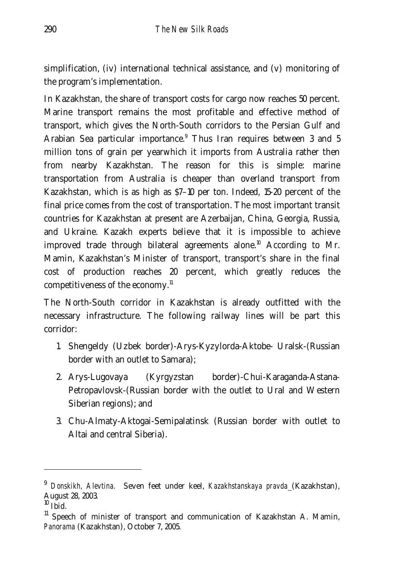simplification, (iv) international technical assistance, and (v) monitoring of the program's implementation.

In Kazakhstan, the share of transport costs for cargo now reaches 50 percent. Marine transport remains the most profitable and effective method of transport, which gives the North-South corridors to the Persian Gulf and Arabian Sea particular importance.<sup>9</sup> Thus Iran requires between 3 and 5 million tons of grain per yearwhich it imports from Australia rather then from nearby Kazakhstan. The reason for this is simple: marine transportation from Australia is cheaper than overland transport from Kazakhstan, which is as high as \$7–10 per ton. Indeed, 15-20 percent of the final price comes from the cost of transportation. The most important transit countries for Kazakhstan at present are Azerbaijan, China, Georgia, Russia, and Ukraine. Kazakh experts believe that it is impossible to achieve improved trade through bilateral agreements alone.<sup>10</sup> According to Mr. Mamin, Kazakhstan's Minister of transport, transport's share in the final cost of production reaches 20 percent, which greatly reduces the competitiveness of the economy.<sup>11</sup>

The North-South corridor in Kazakhstan is already outfitted with the necessary infrastructure. The following railway lines will be part this corridor:

- 1. Shengeldy (Uzbek border)-Arys-Kyzylorda-Aktobe- Uralsk-(Russian border with an outlet to Samara);
- 2. Arys-Lugovaya (Kyrgyzstan border)-Chui-Karaganda-Astana-Petropavlovsk-(Russian border with the outlet to Ural and Western Siberian regions); and
- 3. Chu-Almaty-Aktogai-Semipalatinsk (Russian border with outlet to Altai and central Siberia).

<sup>9</sup> *Donskikh, Alevtina.* Seven feet under keel, *Kazakhstanskaya pravda* (Kazakhstan), August 28, 2003.

 $10$  Ibid.

<sup>11</sup> Speech of minister of transport and communication of Kazakhstan A. Mamin, *Panorama* (Kazakhstan), October 7, 2005.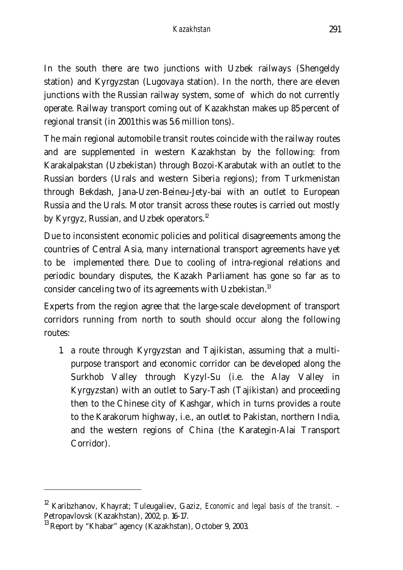In the south there are two junctions with Uzbek railways (Shengeldy station) and Kyrgyzstan (Lugovaya station). In the north, there are eleven junctions with the Russian railway system, some of which do not currently operate. Railway transport coming out of Kazakhstan makes up 85 percent of regional transit (in 2001 this was 5.6 million tons).

The main regional automobile transit routes coincide with the railway routes and are supplemented in western Kazakhstan by the following: from Karakalpakstan (Uzbekistan) through Bozoi-Karabutak with an outlet to the Russian borders (Urals and western Siberia regions); from Turkmenistan through Bekdash, Jana-Uzen-Beineu-Jety-bai with an outlet to European Russia and the Urals. Motor transit across these routes is carried out mostly by Kyrgyz, Russian, and Uzbek operators. $12$ 

Due to inconsistent economic policies and political disagreements among the countries of Central Asia, many international transport agreements have yet to be implemented there. Due to cooling of intra-regional relations and periodic boundary disputes, the Kazakh Parliament has gone so far as to consider canceling two of its agreements with Uzbekistan.13

Experts from the region agree that the large-scale development of transport corridors running from north to south should occur along the following routes:

1. a route through Kyrgyzstan and Tajikistan, assuming that a multipurpose transport and economic corridor can be developed along the Surkhob Valley through Kyzyl-Su (i.e. the Alay Valley in Kyrgyzstan) with an outlet to Sary-Tash (Tajikistan) and proceeding then to the Chinese city of Kashgar, which in turns provides a route to the Karakorum highway, i.e., an outlet to Pakistan, northern India, and the western regions of China (the Karategin-Alai Transport Corridor).

<sup>12</sup> Karibzhanov, Khayrat; Tuleugaliev, Gaziz, *Economic and legal basis of the transit.* – Petropavlovsk (Kazakhstan), 2002, p. 16-17.

<sup>13</sup> Report by "Khabar" agency (Kazakhstan), October 9, 2003.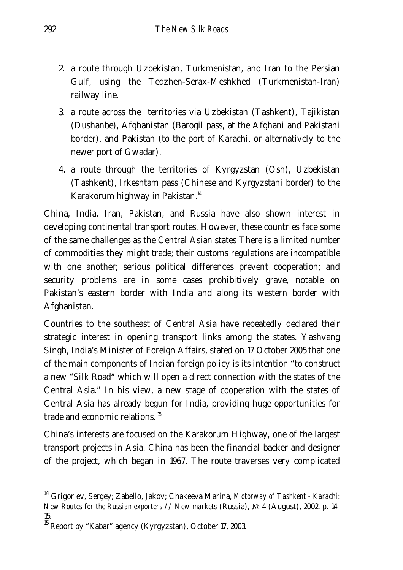- 2. a route through Uzbekistan, Turkmenistan, and Iran to the Persian Gulf, using the Tedzhen-Serax-Meshkhed (Turkmenistan-Iran) railway line.
- 3. a route across the territories via Uzbekistan (Tashkent), Tajikistan (Dushanbe), Afghanistan (Barogil pass, at the Afghani and Pakistani border), and Pakistan (to the port of Karachi, or alternatively to the newer port of Gwadar).
- 4. a route through the territories of Kyrgyzstan (Osh), Uzbekistan (Tashkent), Irkeshtam pass (Chinese and Kyrgyzstani border) to the Karakorum highway in Pakistan.14

China, India, Iran, Pakistan, and Russia have also shown interest in developing continental transport routes. However, these countries face some of the same challenges as the Central Asian states There is a limited number of commodities they might trade; their customs regulations are incompatible with one another; serious political differences prevent cooperation; and security problems are in some cases prohibitively grave, notable on Pakistan's eastern border with India and along its western border with Afghanistan.

Countries to the southeast of Central Asia have repeatedly declared their strategic interest in opening transport links among the states. Yashvang Singh, India's Minister of Foreign Affairs, stated on 17 October 2005 that one of the main components of Indian foreign policy is its intention "to construct a new "Silk Road" which will open a direct connection with the states of the Central Asia." In his view, a new stage of cooperation with the states of Central Asia has already begun for India, providing huge opportunities for trade and economic relations.<sup>15</sup>

China's interests are focused on the Karakorum Highway, one of the largest transport projects in Asia. China has been the financial backer and designer of the project, which began in 1967. The route traverses very complicated

<sup>14</sup> Grigoriev, Sergey; Zabello, Jakov; Chakeeva Marina, *Motorway of Tashkent - Karachi: New Routes for the Russian exporters* // *New markets* (Russia), № 4 (August), 2002, p. 14- 15.

<sup>15</sup> Report by "Kabar" agency (Kyrgyzstan), October 17, 2003.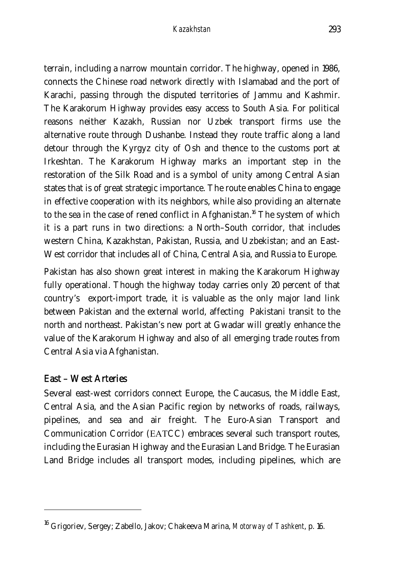terrain, including a narrow mountain corridor. The highway, opened in 1986, connects the Chinese road network directly with Islamabad and the port of Karachi, passing through the disputed territories of Jammu and Kashmir. The Karakorum Highway provides easy access to South Asia. For political reasons neither Kazakh, Russian nor Uzbek transport firms use the alternative route through Dushanbe. Instead they route traffic along a land detour through the Kyrgyz city of Osh and thence to the customs port at Irkeshtan. The Karakorum Highway marks an important step in the restoration of the Silk Road and is a symbol of unity among Central Asian states that is of great strategic importance. The route enables China to engage in effective cooperation with its neighbors, while also providing an alternate to the sea in the case of rened conflict in Afghanistan.<sup>16</sup> The system of which it is a part runs in two directions: a North–South corridor, that includes western China, Kazakhstan, Pakistan, Russia, and Uzbekistan; and an East-West corridor that includes all of China, Central Asia, and Russia to Europe.

Pakistan has also shown great interest in making the Karakorum Highway fully operational. Though the highway today carries only 20 percent of that country's export-import trade, it is valuable as the only major land link between Pakistan and the external world, affecting Pakistani transit to the north and northeast. Pakistan's new port at Gwadar will greatly enhance the value of the Karakorum Highway and also of all emerging trade routes from Central Asia via Afghanistan.

### East – West Arteries

 $\overline{a}$ 

Several east-west corridors connect Europe, the Caucasus, the Middle East, Central Asia, and the Asian Pacific region by networks of roads, railways, pipelines, and sea and air freight. The Euro-Asian Transport and Communication Corridor (ЕАТCC) embraces several such transport routes, including the Eurasian Highway and the Eurasian Land Bridge. The Eurasian Land Bridge includes all transport modes, including pipelines, which are

<sup>16</sup> Grigoriev, Sergey; Zabello, Jakov; Chakeeva Marina, *Motorway of Tashkent*, p. 16.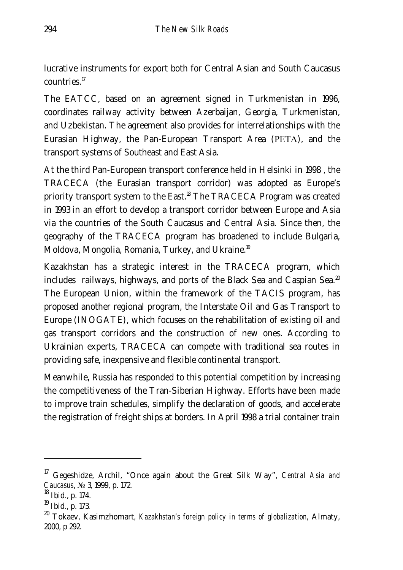lucrative instruments for export both for Central Asian and South Caucasus countries.17

The EATCC, based on an agreement signed in Turkmenistan in 1996, coordinates railway activity between Azerbaijan, Georgia, Turkmenistan, and Uzbekistan. The agreement also provides for interrelationships with the Eurasian Highway, the Pan-European Transport Area (РЕТА), and the transport systems of Southeast and East Asia.

At the third Pan-European transport conference held in Helsinki in 1998 , the TRACECA (the Eurasian transport corridor) was adopted as Europe's priority transport system to the East.<sup>18</sup> The TRACECA Program was created in 1993 in an effort to develop a transport corridor between Europe and Asia via the countries of the South Caucasus and Central Asia. Since then, the geography of the TRACECA program has broadened to include Bulgaria, Moldova, Mongolia, Romania, Turkey, and Ukraine.<sup>19</sup>

Kazakhstan has a strategic interest in the TRACECA program, which includes railways, highways, and ports of the Black Sea and Caspian Sea.<sup>20</sup> The European Union, within the framework of the TACIS program, has proposed another regional program, the Interstate Oil and Gas Transport to Europe (INOGATE), which focuses on the rehabilitation of existing oil and gas transport corridors and the construction of new ones. According to Ukrainian experts, TRACECA can compete with traditional sea routes in providing safe, inexpensive and flexible continental transport.

Meanwhile, Russia has responded to this potential competition by increasing the competitiveness of the Tran-Siberian Highway. Efforts have been made to improve train schedules, simplify the declaration of goods, and accelerate the registration of freight ships at borders. In April 1998 a trial container train

<sup>17</sup> Gegeshidze, Archil, "Once again about the Great Silk Way", *Central Asia and Caucasus*, № 3, 1999, p. 172.

<sup>18</sup> Ibid., p. 174.

<sup>19</sup> Ibid., p. 173.

<sup>20</sup> Tokaev, Kasimzhomart*, Kazakhstan's foreign policy in terms of globalization,* Almaty, 2000, p 292.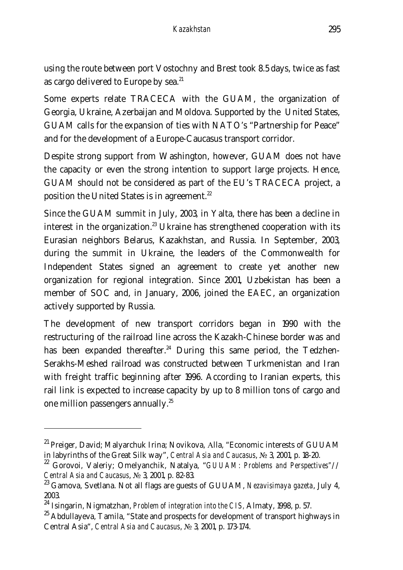using the route between port Vostochny and Brest took 8.5 days, twice as fast as cargo delivered to Europe by sea.<sup>21</sup>

Some experts relate TRACECA with the GUAM, the organization of Georgia, Ukraine, Azerbaijan and Moldova. Supported by the United States, GUAM calls for the expansion of ties with NATO's "Partnership for Peace" and for the development of a Europe-Caucasus transport corridor.

Despite strong support from Washington, however, GUAM does not have the capacity or even the strong intention to support large projects. Hence, GUAM should not be considered as part of the EU's TRACECA project, a position the United States is in agreement.<sup>22</sup>

Since the GUAM summit in July, 2003, in Yalta, there has been a decline in interest in the organization.<sup>23</sup> Ukraine has strengthened cooperation with its Eurasian neighbors Belarus, Kazakhstan, and Russia. In September, 2003, during the summit in Ukraine, the leaders of the Commonwealth for Independent States signed an agreement to create yet another new organization for regional integration. Since 2001, Uzbekistan has been a member of SOC and, in January, 2006, joined the EAEC, an organization actively supported by Russia.

The development of new transport corridors began in 1990 with the restructuring of the railroad line across the Kazakh-Chinese border was and has been expanded thereafter.<sup>24</sup> During this same period, the Tedzhen-Serakhs-Meshed railroad was constructed between Turkmenistan and Iran with freight traffic beginning after 1996. According to Iranian experts, this rail link is expected to increase capacity by up to 8 million tons of cargo and one million passengers annually.25

<sup>21</sup> Preiger, David; Malyarchuk Irina; Novikova, Аlla, "Economic interests of GUUAM in labyrinths of the Great Silk way", *Central Asia and Caucasus*, № 3, 2001, p. 18-20.

<sup>22</sup> Gorovoi, Valeriy; Omelyanchik, Natalya, "*GUUAM: Problems and Perspectives"*// *Central Asia and Caucasus*, № 3, 2001, p. 82-83.<br><sup>23</sup> Gamova, Svetlana. Not all flags are guests of GUUAM, *Nezavisimaya gazeta*, July 4,

<sup>2003.</sup> 

<sup>24</sup> Isingarin, Nigmatzhan, *Problem of integration into the CIS,* Almaty, 1998, p. 57.

 $25$  Abdullayeva. Tamila, "State and prospects for development of transport highways in Central Asia", *Central Asia and Caucasus*, № 3, 2001, p. 173-174.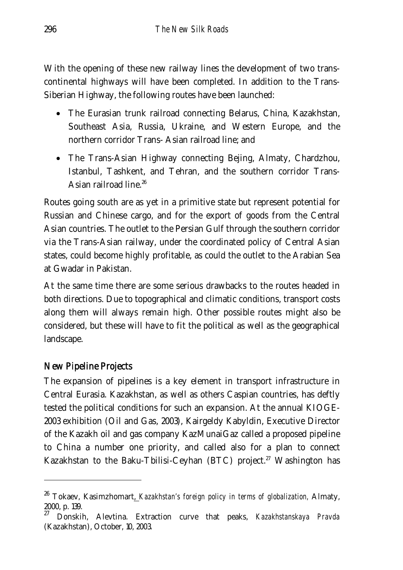With the opening of these new railway lines the development of two transcontinental highways will have been completed. In addition to the Trans-Siberian Highway, the following routes have been launched:

- The Eurasian trunk railroad connecting Belarus, China, Kazakhstan, Southeast Asia, Russia, Ukraine, and Western Europe, and the northern corridor Trans- Asian railroad line; and
- The Trans-Asian Highway connecting Bejing, Almaty, Chardzhou, Istanbul, Tashkent, and Tehran, and the southern corridor Trans-Asian railroad line.<sup>26</sup>

Routes going south are as yet in a primitive state but represent potential for Russian and Chinese cargo, and for the export of goods from the Central Asian countries. The outlet to the Persian Gulf through the southern corridor via the Trans-Asian railway, under the coordinated policy of Central Asian states, could become highly profitable, as could the outlet to the Arabian Sea at Gwadar in Pakistan.

At the same time there are some serious drawbacks to the routes headed in both directions. Due to topographical and climatic conditions, transport costs along them will always remain high. Other possible routes might also be considered, but these will have to fit the political as well as the geographical landscape.

### New Pipeline Projects

 $\overline{a}$ 

The expansion of pipelines is a key element in transport infrastructure in Central Eurasia. Kazakhstan, as well as others Caspian countries, has deftly tested the political conditions for such an expansion. At the annual KIOGE-2003 exhibition (Oil and Gas, 2003), Kairgeldy Kabyldin, Executive Director of the Kazakh oil and gas company KazMunaiGaz called a proposed pipeline to China a number one priority, and called also for a plan to connect Kazakhstan to the Baku-Tbilisi-Ceyhan (BTC) project.<sup>27</sup> Washington has

<sup>26</sup> Tokaev, Kasimzhomart, *Kazakhstan's foreign policy in terms of globalization,* Almaty, 2000, p. 139.

<sup>27</sup> Donskih, Alevtina. Extraction curve that peaks, *Kazakhstanskaya Pravda*  (Kazakhstan), October, 10, 2003.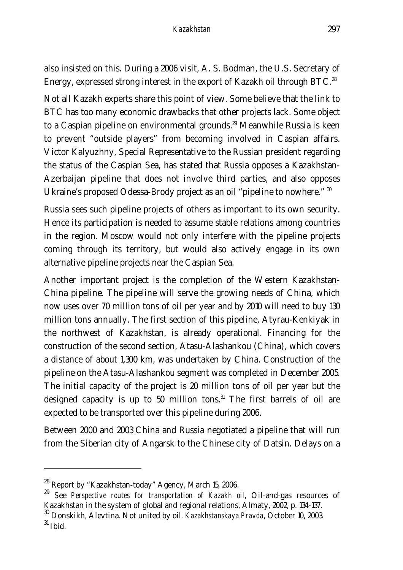also insisted on this. During a 2006 visit, A. S. Bodman, the U.S. Secretary of Energy, expressed strong interest in the export of Kazakh oil through BTC.<sup>28</sup>

Not all Kazakh experts share this point of view. Some believe that the link to BTC has too many economic drawbacks that other projects lack. Some object to a Caspian pipeline on environmental grounds.<sup>29</sup> Meanwhile Russia is keen to prevent "outside players" from becoming involved in Caspian affairs. Victor Kalyuzhny, Special Representative to the Russian president regarding the status of the Caspian Sea, has stated that Russia opposes a Kazakhstan-Azerbaijan pipeline that does not involve third parties, and also opposes Ukraine's proposed Odessa-Brody project as an oil "pipeline to nowhere." 30

Russia sees such pipeline projects of others as important to its own security. Hence its participation is needed to assume stable relations among countries in the region. Moscow would not only interfere with the pipeline projects coming through its territory, but would also actively engage in its own alternative pipeline projects near the Caspian Sea.

Another important project is the completion of the Western Kazakhstan-China pipeline. The pipeline will serve the growing needs of China, which now uses over 70 million tons of oil per year and by 2010 will need to buy 130 million tons annually. The first section of this pipeline, Atyrau-Kenkiyak in the northwest of Kazakhstan, is already operational. Financing for the construction of the second section, Atasu-Alashankou (China), which covers a distance of about 1,300 km, was undertaken by China. Construction of the pipeline on the Atasu-Alashankou segment was completed in December 2005. The initial capacity of the project is 20 million tons of oil per year but the designed capacity is up to 50 million tons. $31$  The first barrels of oil are expected to be transported over this pipeline during 2006.

Between 2000 and 2003 China and Russia negotiated a pipeline that will run from the Siberian city of Angarsk to the Chinese city of Datsin. Delays on a

 $\overline{a}$ 

 $31$  Ibid.

<sup>28</sup> Report by "Kazakhstan-today" Agency, March 15, 2006.

<sup>29</sup> See *Perspective routes for transportation of Kazakh oil*, Oil-and-gas resources of Kazakhstan in the system of global and regional relations, Almaty, 2002, p. 134-137. 30 Donskikh, Alevtina. Not united by oil*. Kazakhstanskaya Pravda*, October 10, 2003.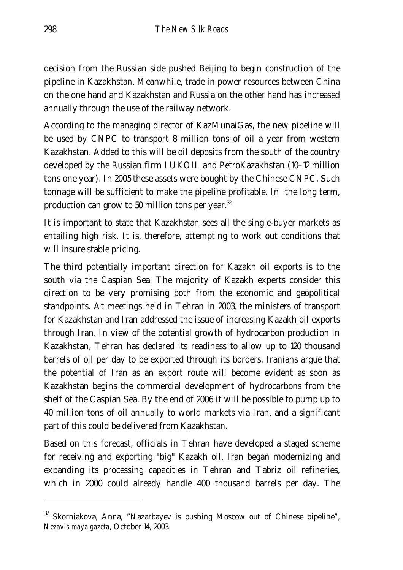decision from the Russian side pushed Beijing to begin construction of the pipeline in Kazakhstan. Meanwhile, trade in power resources between China on the one hand and Kazakhstan and Russia on the other hand has increased annually through the use of the railway network.

According to the managing director of KazMunaiGas, the new pipeline will be used by CNPC to transport 8 million tons of oil a year from western Kazakhstan. Added to this will be oil deposits from the south of the country developed by the Russian firm LUKOIL and PetroKazakhstan (10–12 million tons one year). In 2005 these assets were bought by the Chinese CNPC. Such tonnage will be sufficient to make the pipeline profitable. In the long term, production can grow to 50 million tons per year. $32$ 

It is important to state that Kazakhstan sees all the single-buyer markets as entailing high risk. It is, therefore, attempting to work out conditions that will insure stable pricing.

The third potentially important direction for Kazakh oil exports is to the south via the Caspian Sea. The majority of Kazakh experts consider this direction to be very promising both from the economic and geopolitical standpoints. At meetings held in Tehran in 2003, the ministers of transport for Kazakhstan and Iran addressed the issue of increasing Kazakh oil exports through Iran. In view of the potential growth of hydrocarbon production in Kazakhstan, Tehran has declared its readiness to allow up to 120 thousand barrels of oil per day to be exported through its borders. Iranians argue that the potential of Iran as an export route will become evident as soon as Kazakhstan begins the commercial development of hydrocarbons from the shelf of the Caspian Sea. By the end of 2006 it will be possible to pump up to 40 million tons of oil annually to world markets via Iran, and a significant part of this could be delivered from Kazakhstan.

Based on this forecast, officials in Tehran have developed a staged scheme for receiving and exporting "big" Kazakh oil. Iran began modernizing and expanding its processing capacities in Tehran and Tabriz oil refineries, which in 2000 could already handle 400 thousand barrels per day. The

<sup>32</sup> Skorniakova, Anna, "Nazarbayev is pushing Moscow out of Chinese pipeline", *Nezavisimaya gazeta*, October 14, 2003.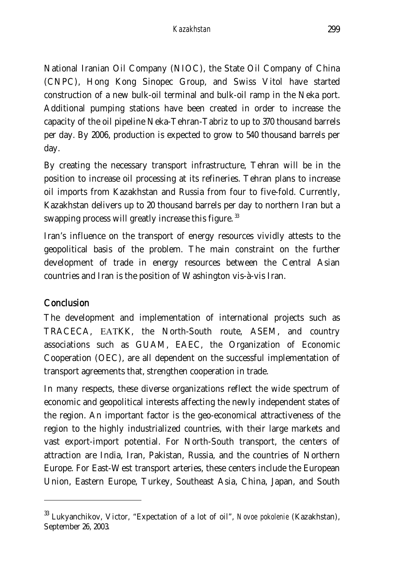National Iranian Oil Company (NIOC), the State Oil Company of China (CNPC), Hong Kong Sinopec Group, and Swiss Vitol have started construction of a new bulk-oil terminal and bulk-oil ramp in the Neka port. Additional pumping stations have been created in order to increase the capacity of the oil pipeline Neka-Tehran-Tabriz to up to 370 thousand barrels per day. By 2006, production is expected to grow to 540 thousand barrels per day.

By creating the necessary transport infrastructure, Tehran will be in the position to increase oil processing at its refineries. Tehran plans to increase oil imports from Kazakhstan and Russia from four to five-fold. Currently, Kazakhstan delivers up to 20 thousand barrels per day to northern Iran but a swapping process will greatly increase this figure.<sup>33</sup>

Iran's influence on the transport of energy resources vividly attests to the geopolitical basis of the problem. The main constraint on the further development of trade in energy resources between the Central Asian countries and Iran is the position of Washington vis-à-vis Iran.

### **Conclusion**

 $\overline{a}$ 

The development and implementation of international projects such as TRACECA, ЕАТKK, the North-South route, ASEM, and country associations such as GUAM, EAEC, the Organization of Economic Cooperation (OEC), are all dependent on the successful implementation of transport agreements that, strengthen cooperation in trade.

In many respects, these diverse organizations reflect the wide spectrum of economic and geopolitical interests affecting the newly independent states of the region. An important factor is the geo-economical attractiveness of the region to the highly industrialized countries, with their large markets and vast export-import potential. For North-South transport, the centers of attraction are India, Iran, Pakistan, Russia, and the countries of Northern Europe. For East-West transport arteries, these centers include the European Union, Eastern Europe, Turkey, Southeast Asia, China, Japan, and South

<sup>33</sup> Lukyanchikov, Victor, "Expectation of a lot of oil", *Novoe pokolenie* (Kazakhstan), September 26, 2003.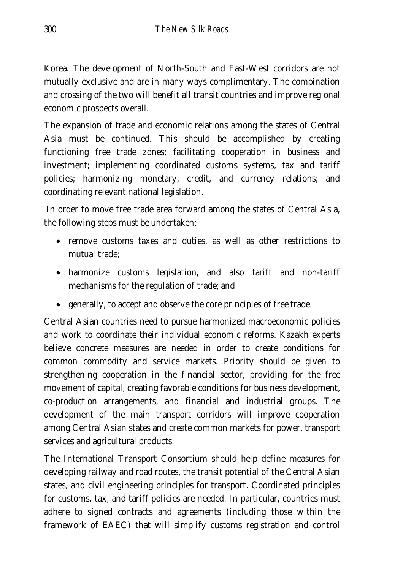Korea. The development of North-South and East-West corridors are not mutually exclusive and are in many ways complimentary. The combination and crossing of the two will benefit all transit countries and improve regional economic prospects overall.

The expansion of trade and economic relations among the states of Central Asia must be continued. This should be accomplished by creating functioning free trade zones; facilitating cooperation in business and investment; implementing coordinated customs systems, tax and tariff policies; harmonizing monetary, credit, and currency relations; and coordinating relevant national legislation.

 In order to move free trade area forward among the states of Central Asia, the following steps must be undertaken:

- remove customs taxes and duties, as well as other restrictions to mutual trade;
- harmonize customs legislation, and also tariff and non-tariff mechanisms for the regulation of trade; and
- generally, to accept and observe the core principles of free trade.

Central Asian countries need to pursue harmonized macroeconomic policies and work to coordinate their individual economic reforms. Kazakh experts believe concrete measures are needed in order to create conditions for common commodity and service markets. Priority should be given to strengthening cooperation in the financial sector, providing for the free movement of capital, creating favorable conditions for business development, co-production arrangements, and financial and industrial groups. The development of the main transport corridors will improve cooperation among Central Asian states and create common markets for power, transport services and agricultural products.

The International Transport Consortium should help define measures for developing railway and road routes, the transit potential of the Central Asian states, and civil engineering principles for transport. Coordinated principles for customs, tax, and tariff policies are needed. In particular, countries must adhere to signed contracts and agreements (including those within the framework of EAEC) that will simplify customs registration and control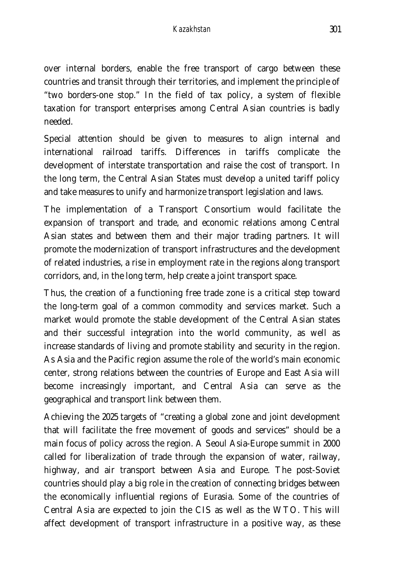over internal borders, enable the free transport of cargo between these countries and transit through their territories, and implement the principle of "two borders-one stop." In the field of tax policy, a system of flexible taxation for transport enterprises among Central Asian countries is badly needed.

Special attention should be given to measures to align internal and international railroad tariffs. Differences in tariffs complicate the development of interstate transportation and raise the cost of transport. In the long term, the Central Asian States must develop a united tariff policy and take measures to unify and harmonize transport legislation and laws.

The implementation of a Transport Consortium would facilitate the expansion of transport and trade, and economic relations among Central Asian states and between them and their major trading partners. It will promote the modernization of transport infrastructures and the development of related industries, a rise in employment rate in the regions along transport corridors, and, in the long term, help create a joint transport space.

Thus, the creation of a functioning free trade zone is a critical step toward the long-term goal of a common commodity and services market. Such a market would promote the stable development of the Central Asian states and their successful integration into the world community, as well as increase standards of living and promote stability and security in the region. As Asia and the Pacific region assume the role of the world's main economic center, strong relations between the countries of Europe and East Asia will become increasingly important, and Central Asia can serve as the geographical and transport link between them.

Achieving the 2025 targets of "creating a global zone and joint development that will facilitate the free movement of goods and services" should be a main focus of policy across the region. A Seoul Asia-Europe summit in 2000 called for liberalization of trade through the expansion of water, railway, highway, and air transport between Asia and Europe. The post-Soviet countries should play a big role in the creation of connecting bridges between the economically influential regions of Eurasia. Some of the countries of Central Asia are expected to join the CIS as well as the WTO. This will affect development of transport infrastructure in a positive way, as these